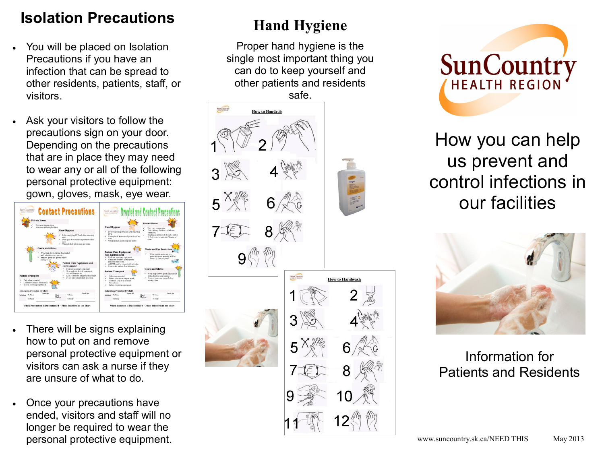# **Isolation Precautions**

- You will be placed on Isolation Precautions if you have an infection that can be spread to other residents, patients, staff, or visitors.
- Ask your visitors to follow the precautions sign on your door. Depending on the precautions that are in place they may need to wear any or all of the following personal protective equipment: gown, gloves, mask, eye wear.



- There will be signs explaining how to put on and remove personal protective equipment or visitors can ask a nurse if they are unsure of what to do.
- Once your precautions have ended, visitors and staff will no longer be required to wear the personal protective equipment.

# **Hand Hygiene**

Proper hand hygiene is the single most important thing you can do to keep yourself and other patients and residents





How you can help us prevent and control infections in our facilities



#### Information for Patients and Residents